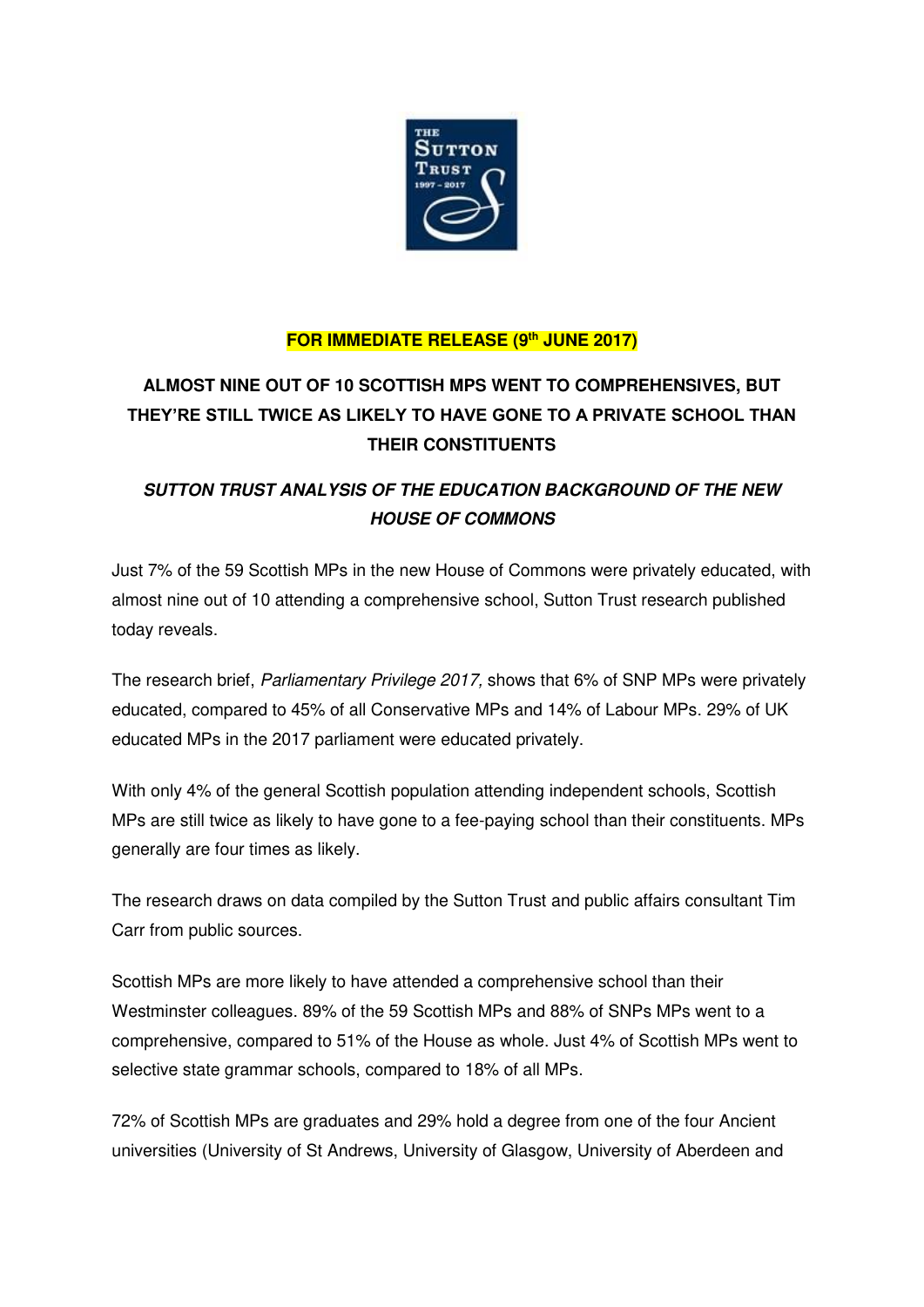

### **FOR IMMEDIATE RELEASE (9th JUNE 2017)**

# **ALMOST NINE OUT OF 10 SCOTTISH MPS WENT TO COMPREHENSIVES, BUT THEY'RE STILL TWICE AS LIKELY TO HAVE GONE TO A PRIVATE SCHOOL THAN THEIR CONSTITUENTS**

## **SUTTON TRUST ANALYSIS OF THE EDUCATION BACKGROUND OF THE NEW HOUSE OF COMMONS**

Just 7% of the 59 Scottish MPs in the new House of Commons were privately educated, with almost nine out of 10 attending a comprehensive school, Sutton Trust research published today reveals.

The research brief, Parliamentary Privilege 2017, shows that 6% of SNP MPs were privately educated, compared to 45% of all Conservative MPs and 14% of Labour MPs. 29% of UK educated MPs in the 2017 parliament were educated privately.

With only 4% of the general Scottish population attending independent schools, Scottish MPs are still twice as likely to have gone to a fee-paying school than their constituents. MPs generally are four times as likely.

The research draws on data compiled by the Sutton Trust and public affairs consultant Tim Carr from public sources.

Scottish MPs are more likely to have attended a comprehensive school than their Westminster colleagues. 89% of the 59 Scottish MPs and 88% of SNPs MPs went to a comprehensive, compared to 51% of the House as whole. Just 4% of Scottish MPs went to selective state grammar schools, compared to 18% of all MPs.

72% of Scottish MPs are graduates and 29% hold a degree from one of the four Ancient universities (University of St Andrews, University of Glasgow, University of Aberdeen and